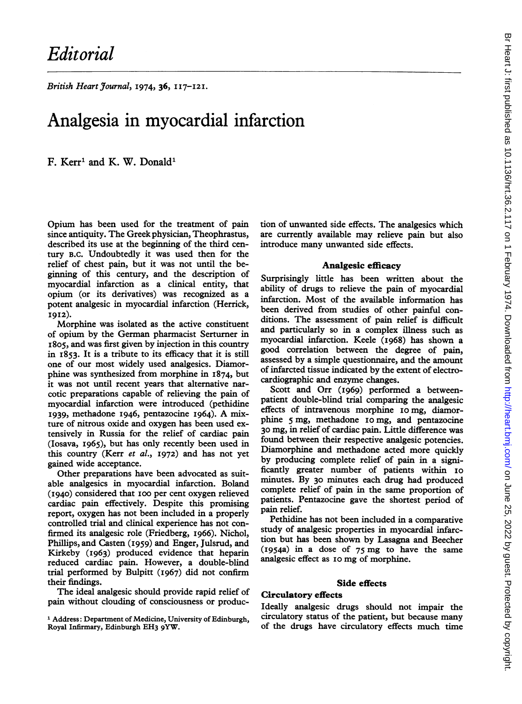British Heart Journal, 1974, 36, 117-121.

# Analgesia in myocardial infarction

F. Kerr' and K. W. Donald'

Opium has been used for the treatment of pain since antiquity. The Greek physician, Theophrastus, described its use at the beginning of the third century B.C. Undoubtedly it was used then for the relief of chest pain, but it was not until the beginning of this century, and the description of myocardial infarction as a clinical entity, that opium (or its derivatives) was recognized as a potent analgesic in myocardial infarction (Herrick, I912).

Morphine was isolated as the active constituent of opium by the German pharmacist Serturner in I805, and was first given by injection in this country in I853. It is a tribute to its efficacy that it is still one of our most widely used analgesics. Diamorphine was synthesized from morphine in I874, but it was not until recent years that alternative narcotic preparations capable of relieving the pain of myocardial infarction were introduced (pethidine I939, methadone 1946, pentazocine I964). A mixture of nitrous oxide and oxygen has been used extensively in Russia for the relief of cardiac pain (Iosava, I965), but has only recently been used in this country (Kerr et al., 1972) and has not yet gained wide acceptance.

Other preparations have been advocated as suitable analgesics in myocardial infarction. Boland (1940) considered that I00 per cent oxygen relieved cardiac pain effectively. Despite this promising report, oxygen has not been included in a properly controlled trial and clinical experience has not confirmed its analgesic role (Friedberg, I966). Nichol, Phillips, and Casten (I959) and Enger, Julsrud, and Kirkeby (I963) produced evidence that heparin reduced cardiac pain. However, a double-blind trial performed by Bulpitt (I967) did not confirm their findings.

The ideal analgesic should provide rapid relief of pain without clouding of consciousness or production of unwanted side effects. The analgesics which are currently available may relieve pain but also introduce many unwanted side effects.

#### Analgesic efficacy

Surprisingly little has been written about the ability of drugs to relieve the pain of myocardial infarction. Most of the available information has been derived from studies of other painful conditions. The assessment of pain relief is difficult and particularly so in a complex illness such as myocardial infarction. Keele (I968) has shown a good correlation between the degree of pain, assessed by a simple questionnaire, and the amount of infarcted tissue indicated by the extent of electrocardiographic and enzyme changes.

Scott and Orr (I969) performed a betweenpatient double-blind trial comparing the analgesic effects of intravenous morphine io mg, diamorphine 5 mg, methadone io mg, and pentazocine 30 mg, in relief of cardiac pain. Little difference was found between their respective analgesic potencies. Diamorphine and methadone acted more quickly by producing complete relief of pain in a significantly greater number of patients within I0 minutes. By 30 minutes each drug had produced complete relief of pain in the same proportion of patients. Pentazocine gave the shortest period of pain relief.

Pethidine has not been included in a comparative study of analgesic properties in myocardial infarction but has been shown by Lasagna and Beecher (1954a) in <sup>a</sup> dose of <sup>75</sup> mg to have the same analgesic effect as I0 mg of morphine.

#### Side effects

## Circulatory effects

Ideally analgesic drugs should not impair the circulatory status of the patient, but because many of the drugs have circulatory effects much time

<sup>&</sup>lt;sup>1</sup> Address: Department of Medicine, University of Edinburgh, Royal Infirmary, Edinburgh EH3 9YW.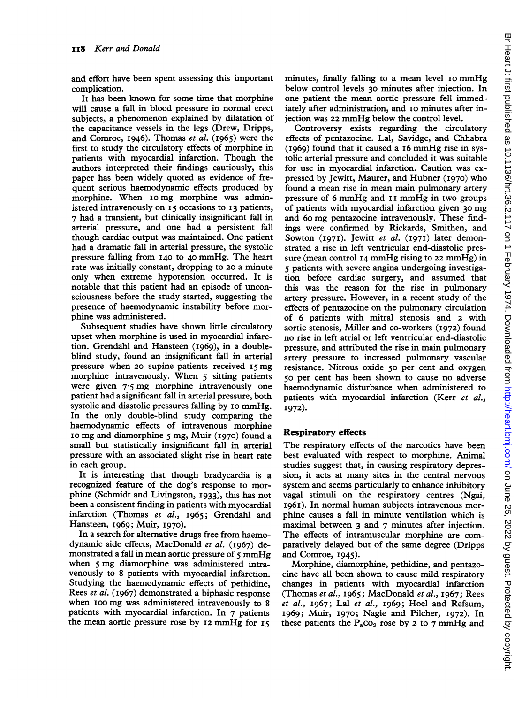and effort have been spent assessing this important complication.

It has been known for some time that morphine will cause a fall in blood pressure in normal erect subjects, a phenomenon explained by dilatation of the capacitance vessels in the legs (Drew, Dripps, and Comroe, I946). Thomas et al. (I965) were the first to study the circulatory effects of morphine in patients with myocardial infarction. Though the authors interpreted their findings cautiously, this paper has been widely quoted as evidence of frequent serious haemodynamic effects produced by morphine. When I0 mg morphine was administered intravenously on I5 occasions to I3 patients, 7 had a transient, but clinically insignificant fall in arterial pressure, and one had a persistent fall though cardiac output was maintained. One patient had a dramatic fall in arterial pressure, the systolic pressure falling from I40 to 40 mmHg. The heart rate was initially constant, dropping to 20 a minute only when extreme hypotension occurred. It is notable that this patient had an episode of unconsciousness before the study started, suggesting the presence of haemodynamic instability before morphine was administered.

Subsequent studies have shown little circulatory upset when morphine is used in myocardial infarction. Grendahl and Hansteen (I969), in a doubleblind study, found an insignificant fall in arterial pressure when 20 supine patients received 15 mg morphine intravenously. When <sup>5</sup> sitting patients were given 7-5 mg morphine intravenously one patient had a significant fall in arterial pressure, both systolic and diastolic pressures falling by 10 mmHg. In the only double-blind study comparing the haemodynamic effects of intravenous morphine io mg and diamorphine <sup>5</sup> mg, Muir (I970) found <sup>a</sup> small but statistically insignificant fall in arterial pressure with an associated slight rise in heart rate in each group.

It is interesting that though bradycardia is a recognized feature of the dog's response to morphine (Schmidt and Livingston, I933), this has not been a consistent finding in patients with myocardial infarction (Thomas et al., 1965; Grendahl and Hansteen, I969; Muir, 1970).

In a search for alternative drugs free from haemodynamic side effects, MacDonald et al. (1967) demonstrated <sup>a</sup> fall in mean aortic pressure of <sup>5</sup> mmHg when <sup>5</sup> mg diamorphine was administered intravenously to 8 patients with myocardial infarction. Studying the haemodynamic effects of pethidine, Rees et al. (I967) demonstrated a biphasic response when ioo mg was administered intravenously to <sup>8</sup> patients with myocardial infarction. In 7 patients the mean aortic pressure rose by I2 mmHg for i5

minutes, finally falling to a mean level 10 mmHg below control levels 30 minutes after injection. In one patient the mean aortic pressure fell immediately after administration, and 10 minutes after injection was <sup>22</sup> mmHg below the control level.

Controversy exists regarding the circulatory effects of pentazocine. Lal, Savidge, and Chhabra (I969) found that it caused <sup>a</sup> i6 mmHg rise in systolic arterial pressure and concluded it was suitable for use in myocardial infarction. Caution was expressed by Jewitt, Maurer, and Hubner (I970) who found a mean rise in mean main pulmonary artery pressure of 6 mmHg and 11 mmHg in two groups of patients with myocardial infarction given 30 mg and 6o mg pentazocine intravenously. These findings were confirmed by Rickards, Smithen, and Sowton (1971). Jewitt et al. (1971) later demonstrated a rise in left ventricular end-diastolic pressure (mean control I4 mmHg rising to <sup>22</sup> mmHg) in 5 patients with severe angina undergoing investigation before cardiac surgery, and assumed that this was the reason for the rise in pulmonary artery pressure. However, in <sup>a</sup> recent study of the effects of pentazocine on the pulmonary circulation of 6 patients with mitral stenosis and 2 with aortic stenosis, Miller and co-workers (I972) found no rise in left atrial or left ventricular end-diastolic pressure, and attributed the rise in main pulmonary artery pressure to increased pulmonary vascular resistance. Nitrous oxide 50 per cent and oxygen 50 per cent has been shown to cause no adverse haemodynamic disturbance when administered to patients with myocardial infarction (Kerr et al., I972).

## Respiratory effects

The respiratory effects of the narcotics have been best evaluated with respect to morphine. Animal studies suggest that, in causing respiratory depression, it acts at many sites in the central nervous system and seems particularly to enhance inhibitory vagal stimuli on the respiratory centres (Ngai, I96I). In normal human subjects intravenous morphine causes a fall in minute ventilation which is maximal between 3 and 7 minutes after injection. The effects of intramuscular morphine are comparatively delayed but of the same degree (Dripps and Comroe, 1945).

Morphine, diamorphine, pethidine, and pentazocine have all been shown to cause mild respiratory changes in patients with myocardial infarction (Thomas et al., I965; MacDonald et al., I967; Rees et al., I967; Lal et al., I969; Hoel and Refsum, I969; Muir, I970; Nagle and Pilcher, I972). In these patients the  $P_{a}CO_{2}$  rose by 2 to 7 mmHg and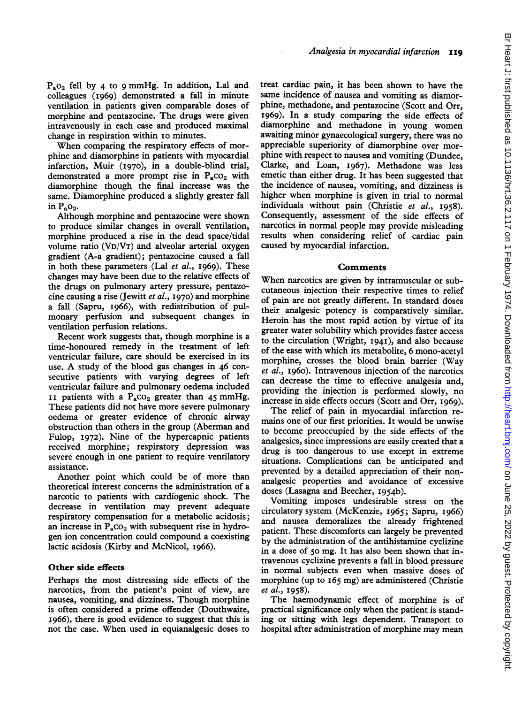PaO2 fell by 4 to <sup>9</sup> mmHg. In addition, Lal and colleagues (I969) demonstrated a fall in minute ventilation in patients given comparable doses of morphine and pentazocine. The drugs were given intravenously in each case and produced maximal change in respiration within I0 minutes.

When comparing the respiratory effects of morphine and diamorphine in patients with myocardial infarction, Muir (I970), in a double-blind trial, demonstrated a more prompt rise in  $P_{a}CO_{2}$  with diamorphine though the final increase was the same. Diamorphine produced a slightly greater fall in  $P_aO_2$ .

Although morphine and pentazocine were shown to produce similar changes in overall ventilation, morphine produced a rise in the dead space/tidal volume ratio (VD/VT) and alveolar arterial oxygen gradient (A-a gradient); pentazocine caused a fall in both these parameters (Lal et al., I969). These changes may have been due to the relative effects of the drugs on pulmonary artery pressure, pentazocine causing a rise (Jewitt et al., 1970) and morphine a fall (Sapru, I966), with redistribution of pulmonary perfusion and subsequent changes in ventilation perfusion relations.

Recent work suggests that, though morphine is a time-honoured remedy in the treatment of left ventricular failure, care should be exercised in its use. A study of the blood gas changes in <sup>46</sup> consecutive patients with varying degrees of left ventricular failure and pulmonary oedema included II patients with a  $P_{a}CO_{2}$  greater than 45 mmHg. These patients did not have more severe pulmonary oedema or greater evidence of chronic airway obstruction than others in the group (Aberman and Fulop, I972). Nine of the hypercapnic patients received morphine; respiratory depression was severe enough in one patient to require ventilatory assistance.

Another point which could be of more than theoretical interest concerns the administration of a narcotic to patients with cardiogenic shock. The decrease in ventilation may prevent adequate respiratory compensation for a metabolic acidosis; an increase in  $P_{a}CO_{2}$  with subsequent rise in hydrogen ion concentration could compound a coexisting lactic acidosis (Kirby and McNicol, I966).

## Other side effects

Perhaps the most distressing side effects of the narcotics, from the patient's point of view, are nausea, vomiting, and dizziness. Though morphine is often considered a prime offender (Douthwaite, I966), there is good evidence to suggest that this is not the case. When used in equianalgesic doses to

treat cardiac pain, it has been shown to have the same incidence of nausea and vomiting as diamorphine, methadone, and pentazocine (Scott and Orr, I969). In a study comparing the side effects of diamorphine and methadone in young women awaiting minor gynaecological surgery, there was no appreciable superiority of diamorphine over morphine with respect to nausea and vomiting (Dundee, Clarke, and Loan, I967). Methadone was less emetic than either drug. It has been suggested that the incidence of nausea, vomiting, and dizziness is higher when morphine is given in trial to normal individuals without pain (Christie et al., 1958). Consequently, assessment of the side effects of narcotics in normal people may provide misleading results when considering relief of cardiac pain caused by myocardial infarction.

## Comments

When narcotics are given by intramuscular or subcutaneous injection their respective times to relief of pain are not greatly different. In standard doses their analgesic potency is comparatively similar. Heroin has the most rapid action by virtue of its greater water solubility which provides faster access to the circulation (Wright, I94I), and also because of the ease with which its metabolite, 6 mono-acetyl morphine, crosses the blood brain barrier (Way et al., I960). Intravenous injection of the narcotics can decrease the time to effective analgesia and, providing the injection is performed slowly, no increase in side effects occurs (Scott and Orr, I969).

The relief of pain in myocardial infarction remains one of our first priorities. It would be unwise to become preoccupied by the side effects of the analgesics, since impressions are easily created that a drug is too dangerous to use except in extreme situations. Complications can be anticipated and prevented by a detailed appreciation of their nonanalgesic properties and avoidance of excessive doses (Lasagna and Beecher, I954b).

Vomiting imposes undesirable stress on the circulatory system (McKenzie, I965; Sapru, I966) and nausea demoralizes the already frightened patient. These discomforts can largely be prevented by the administration of the antihistamine cyclizine in a dose of 50 mg. It has also been shown that intravenous cyclizine prevents a fall in blood pressure in normal subjects even when massive doses of morphine (up to i65 mg) are administered (Christie et al., I958).

The haemodynamic effect of morphine is of practical significance only when the patient is standing or sitting with legs dependent. Transport to hospital after administration of morphine may mean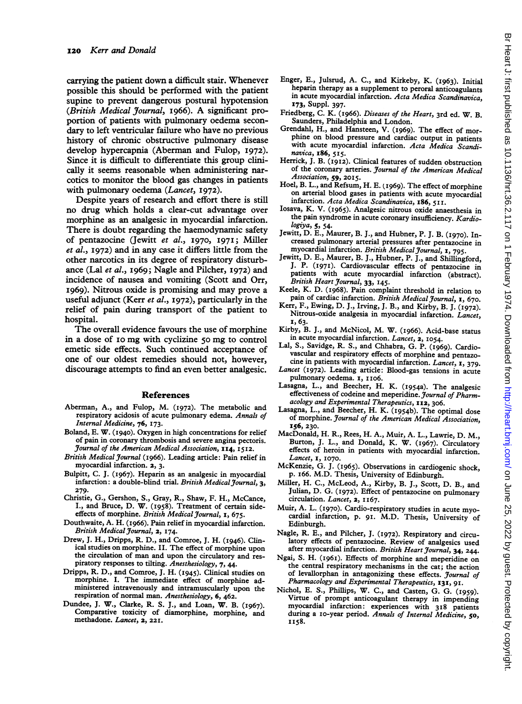carrying the patient down a difficult stair. Whenever possible this should be performed with the patient supine to prevent dangerous postural hypotension (British Medical Journal, I966). A significant proportion of patients with pulmonary oedema secondary to left ventricular failure who have no previous history of chronic obstructive pulmonary disease develop hypercapnia (Aberman and Fulop, I972). Since it is difficult to differentiate this group clinically it seems reasonable when administering narcotics to monitor the blood gas changes in patients with pulmonary oedema (Lancet, 1972).

Despite years of research and effort there is still no drug which holds a clear-cut advantage over morphine as an analgesic in myocardial infarction. There is doubt regarding the haemodynamic safety of pentazocine (Jewitt et al., 1970, 197I; Miller et al., I972) and in any case it differs little from the other narcotics in its degree of respiratory disturbance (Lal et al., I969; Nagle and Pilcher, 1972) and incidence of nausea and vomiting (Scott and Orr, I969). Nitrous oxide is promising and may prove a useful adjunct (Kerr et al., 1972), particularly in the relief of pain during transport of the patient to hospital.

The overall evidence favours the use of morphine in <sup>a</sup> dose of <sup>10</sup> mg with cyclizine 5o mg to control emetic side effects. Such continued acceptance of one of our oldest remedies should not, however, discourage attempts to find an even better analgesic.

#### References

- Aberman, A., and Fulop, M. (I972). The metabolic and respiratory acidosis of acute pulmonary edema. Annals of Internal Medicine, 76, I73.
- Boland, E. W. (I940). Oxygen in high concentrations for relief of pain in coronary thrombosis and severe angina pectoris. Journal of the American Medical Association, 114, I5I2.
- British Medical Journal (I966). Leading article: Pain relief in myocardial infarction. 2, 3.
- Bulpitt, C. J. (I967). Heparin as an analgesic in myocardial infarction: a double-blind trial. British Medical Journal, 3, 279.
- Christie, G., Gershon, S., Gray, R., Shaw, F. H., McCance, I., and Bruce, D. W. (I958). Treatment of certain sideeffects of morphine. British Medical Journal, 1, 675.
- Douthwaite, A. H. (I966). Pain relief in myocardial infarction. British Medical Journal, 2, 174.
- Drew, J. H., Dripps, R. D., and Comroe, J. H. (1946). Clinical studies on morphine. II. The effect of morphine upon the circulation of man and upon the circulatory and respiratory responses to tilting. Anesthesiology, 7, 44.
- Dripps, R. D., and Comroe, J. H. (i945). Clinical studies on morphine. I. The immediate effect of morphine administered intravenously and intramuscularly upon the respiration of normal man. Anesthesiology, 6, 462.
- Dundee, J. W., Clarke, R. S. J., and Loan, W. B. (I967). Comparative toxicity of diamorphine, morphine, and methadone. Lancet, 2, 22I.
- Enger, E., Julsrud, A. C., and Kirkeby, K. (I963). Initial heparin therapy as a supplement to peroral anticoagulants in acute myocardial infarction. Acta Medica Scandinavica, 173, Suppl. 397.
- Friedberg, C. K. (I966). Diseases of the Heart, 3rd ed. W. B. Saunders, Philadelphia and London.
- Grendahl, H., and Hansteen, V. (I969). The effect of mor phine on blood pressure and cardiac output in patients with acute myocardial infarction. Acta Medica Scandinavica, I86, 5I5.
- Herrick, J. B. (I9I2). Clinical features of sudden obstruction of the coronary arteries. Journal of the American Medical Association, 59, 2015.
- Hoel, B. L., and Refsum, H. E. (I969). The effect of morphine on arterial blood gases in patients with acute myocardial infarction. Acta Medica Scandinavica, I86, 511.
- Iosava, K. V. (I965). Analgesic nitrous oxide anaesthesia in the pain syndrome in acute coronary insufficiency. Kardiologiya, 5, 54-
- Jewitt, D. E., Maurer, B. J., and Hubner, P. J. B. (I970). Increased pulmonary arterial pressures after pentazocine in myocardial infarction. British Medical Journal, 1, 795.
- Jewitt, D. E., Maurer, B. J., Hubner, P. J., and Shillingford, J. P. (1971). Cardiovascular effects of pentazocine in patients with acute myocardial infarction (abstract). British Heart Journal, 33, 145.
- Keele, K. D. (I968). Pain complaint threshold in relation to pain of cardiac infarction. British Medical Journal, 1, 670.
- Kerr, F., Ewing, D. J., Irving, J. B., and Kirby, B. J. (1972). Nitrous-oxide analgesia in myocardial infarction. Lancet, I, 63.
- Kirby, B. J., and McNicol, M. W. (I966). Acid-base status in acute myocardial infarction. Lancet, 2, 1054.
- Lal, S., Savidge, R. S., and Chhabra, G. P. (I969). Cardiovascular and respiratory effects of morphine and pentazocine in patients with myocardial infarction. Lancet, 1, 379.
- Lancet (I972). Leading article: Blood-gas tensions in acute pulmonary oedema. I, II06.
- Lasagna, L., and Beecher, H. K. (1954a). The analgesic effectiveness of codeine and meperidine. Journal of Pharmacology and Experimental Therapeutics, 112, 306.
- Lasagna, L., and Beecher, H. K. (1954b). The optimal dose of morphine. Journal of the American Medical Association, I56, 230.
- MacDonald, H. R., Rees, H. A., Muir, A. L., Lawrie, D. M., Burton, J. L., and Donald, K. W. (I967). Circulatory effects of heroin in patients with myocardial infarction. Lancet, 1, 1070.
- McKenzie, G. J. (I965). Observations in cardiogenic shock, p. I66. M.D. Thesis, University of Edinburgh.
- Miller, H. C., McLeod, A., Kirby, B. J., Scott, D. B., and Julian, D. G. (I972). Effect of pentazocine on pulmonary circulation. Lancet, 2, II67.
- Muir, A. L. (I970). Cardio-respiratory studies in acute myocardial infarction, p. 9I. M.D. Thesis, University of Edinburgh.
- Nagle, R. E., and Pilcher, J. (1972). Respiratory and circulatory effects of pentazocine. Review of analgesics used after myocardial infarction. British Heart Journal, 34, 244.
- Ngai, S. H. (I961). Effects of morphine and meperidine on the central respiratory mechanisms in the cat; the action of levallorphan in antagonizing these effects. Journal of Pharmacology and Experimental Therapeutics, 131, 9I.
- Nichol, E. S., Phillips, W. C., and Casten, G. G. (1959). Virtue of prompt anticoagulant therapy in impending myocardial infarction: experiences with 3i8 patients during a 10-year period. Annals of Internal Medicine, 50, II58.